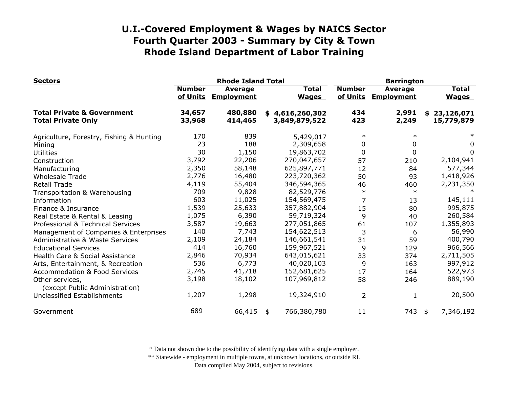| <b>Sectors</b>                                                     |                           | <b>Rhode Island Total</b>           |    | <b>Barrington</b>                |                           |                                     |    |                              |
|--------------------------------------------------------------------|---------------------------|-------------------------------------|----|----------------------------------|---------------------------|-------------------------------------|----|------------------------------|
|                                                                    | <b>Number</b><br>of Units | <b>Average</b><br><b>Employment</b> |    | <b>Total</b><br><b>Wages</b>     | <b>Number</b><br>of Units | <b>Average</b><br><b>Employment</b> |    | <b>Total</b><br><b>Wages</b> |
| <b>Total Private &amp; Government</b><br><b>Total Private Only</b> | 34,657<br>33,968          | 480,880<br>414,465                  |    | \$4,616,260,302<br>3,849,879,522 | 434<br>423                | 2,991<br>2,249                      | \$ | 23,126,071<br>15,779,879     |
| Agriculture, Forestry, Fishing & Hunting                           | 170                       | 839                                 |    | 5,429,017                        | $\ast$                    | $\ast$                              |    |                              |
| Mining                                                             | 23                        | 188                                 |    | 2,309,658                        | 0                         | 0                                   |    | 0                            |
| <b>Utilities</b>                                                   | 30                        | 1,150                               |    | 19,863,702                       | $\mathbf 0$               | 0                                   |    | 0                            |
| Construction                                                       | 3,792                     | 22,206                              |    | 270,047,657                      | 57                        | 210                                 |    | 2,104,941                    |
| Manufacturing                                                      | 2,350                     | 58,148                              |    | 625,897,771                      | 12                        | 84                                  |    | 577,344                      |
| <b>Wholesale Trade</b>                                             | 2,776                     | 16,480                              |    | 223,720,362                      | 50                        | 93                                  |    | 1,418,926                    |
| <b>Retail Trade</b>                                                | 4,119                     | 55,404                              |    | 346,594,365                      | 46                        | 460                                 |    | 2,231,350                    |
| Transportation & Warehousing                                       | 709                       | 9,828                               |    | 82,529,776                       | $\ast$                    | $\ast$                              |    |                              |
| Information                                                        | 603                       | 11,025                              |    | 154,569,475                      | 7                         | 13                                  |    | 145,111                      |
| Finance & Insurance                                                | 1,539                     | 25,633                              |    | 357,882,904                      | 15                        | 80                                  |    | 995,875                      |
| Real Estate & Rental & Leasing                                     | 1,075                     | 6,390                               |    | 59,719,324                       | 9                         | 40                                  |    | 260,584                      |
| Professional & Technical Services                                  | 3,587                     | 19,663                              |    | 277,051,865                      | 61                        | 107                                 |    | 1,355,893                    |
| Management of Companies & Enterprises                              | 140                       | 7,743                               |    | 154,622,513                      | 3                         | 6                                   |    | 56,990                       |
| <b>Administrative &amp; Waste Services</b>                         | 2,109                     | 24,184                              |    | 146,661,541                      | 31                        | 59                                  |    | 400,790                      |
| <b>Educational Services</b>                                        | 414                       | 16,760                              |    | 159,967,521                      | 9                         | 129                                 |    | 966,566                      |
| Health Care & Social Assistance                                    | 2,846                     | 70,934                              |    | 643,015,621                      | 33                        | 374                                 |    | 2,711,505                    |
| Arts, Entertainment, & Recreation                                  | 536                       | 6,773                               |    | 40,020,103                       | 9                         | 163                                 |    | 997,912                      |
| <b>Accommodation &amp; Food Services</b>                           | 2,745                     | 41,718                              |    | 152,681,625                      | 17                        | 164                                 |    | 522,973                      |
| Other services,<br>(except Public Administration)                  | 3,198                     | 18,102                              |    | 107,969,812                      | 58                        | 246                                 |    | 889,190                      |
| Unclassified Establishments                                        | 1,207                     | 1,298                               |    | 19,324,910                       | $\overline{2}$            | 1                                   |    | 20,500                       |
| Government                                                         | 689                       | 66,415                              | \$ | 766,380,780                      | 11                        | 743                                 | \$ | 7,346,192                    |

\* Data not shown due to the possibility of identifying data with a single employer.

\*\* Statewide - employment in multiple towns, at unknown locations, or outside RI.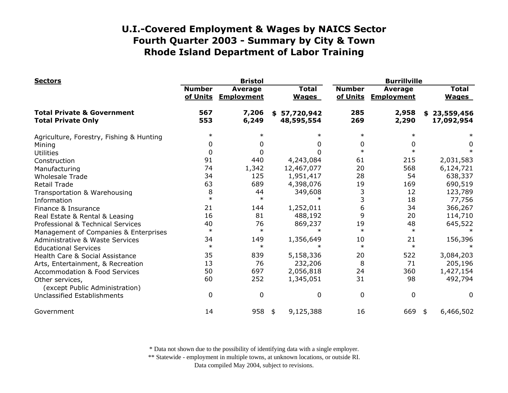| <b>Sectors</b>                                                     |                           | <b>Bristol</b>                      |                                | <b>Burrillville</b>       |                                     |    |                              |
|--------------------------------------------------------------------|---------------------------|-------------------------------------|--------------------------------|---------------------------|-------------------------------------|----|------------------------------|
|                                                                    | <b>Number</b><br>of Units | <b>Average</b><br><b>Employment</b> | <b>Total</b><br><b>Wages</b>   | <b>Number</b><br>of Units | <b>Average</b><br><b>Employment</b> |    | <b>Total</b><br><b>Wages</b> |
| <b>Total Private &amp; Government</b><br><b>Total Private Only</b> | 567<br>553                | 7,206<br>6,249                      | 57,720,942<br>S.<br>48,595,554 | 285<br>269                | 2,958<br>2,290                      | \$ | 23,559,456<br>17,092,954     |
| Agriculture, Forestry, Fishing & Hunting                           | $\ast$                    |                                     | $\ast$                         | $\ast$                    | $\ast$                              |    |                              |
| Mining                                                             | 0                         |                                     | 0                              | 0                         | 0                                   |    | 0                            |
| <b>Utilities</b>                                                   | 0                         |                                     | 0                              | $\ast$                    | $\ast$                              |    | $\ast$                       |
| Construction                                                       | 91                        | 440                                 | 4,243,084                      | 61                        | 215                                 |    | 2,031,583                    |
| Manufacturing                                                      | 74                        | 1,342                               | 12,467,077                     | 20                        | 568                                 |    | 6,124,721                    |
| <b>Wholesale Trade</b>                                             | 34                        | 125                                 | 1,951,417                      | 28                        | 54                                  |    | 638,337                      |
| <b>Retail Trade</b>                                                | 63                        | 689                                 | 4,398,076                      | 19                        | 169                                 |    | 690,519                      |
| Transportation & Warehousing                                       | 8                         | 44                                  | 349,608                        | 3                         | 12                                  |    | 123,789                      |
| Information                                                        | $\ast$                    | $\ast$                              | $\ast$                         |                           | 18                                  |    | 77,756                       |
| Finance & Insurance                                                | 21                        | 144                                 | 1,252,011                      | 6                         | 34                                  |    | 366,267                      |
| Real Estate & Rental & Leasing                                     | 16                        | 81                                  | 488,192                        | 9                         | 20                                  |    | 114,710                      |
| Professional & Technical Services                                  | 40                        | 76                                  | 869,237                        | 19                        | 48                                  |    | 645,522                      |
| Management of Companies & Enterprises                              | $\ast$                    | $\ast$                              | $\ast$                         | $\ast$                    | $\ast$                              |    |                              |
| <b>Administrative &amp; Waste Services</b>                         | 34                        | 149                                 | 1,356,649                      | 10                        | 21                                  |    | 156,396                      |
| <b>Educational Services</b>                                        | $\ast$                    | $\ast$                              |                                | $\ast$                    | $\ast$                              |    |                              |
| Health Care & Social Assistance                                    | 35                        | 839                                 | 5,158,336                      | 20                        | 522                                 |    | 3,084,203                    |
| Arts, Entertainment, & Recreation                                  | 13                        | 76                                  | 232,206                        | 8                         | 71                                  |    | 205,196                      |
| <b>Accommodation &amp; Food Services</b>                           | 50                        | 697                                 | 2,056,818                      | 24                        | 360                                 |    | 1,427,154                    |
| Other services,<br>(except Public Administration)                  | 60                        | 252                                 | 1,345,051                      | 31                        | 98                                  |    | 492,794                      |
| <b>Unclassified Establishments</b>                                 | 0                         | 0                                   | 0                              | $\mathbf 0$               | $\mathbf 0$                         |    | 0                            |
| Government                                                         | 14                        | 958                                 | 9,125,388<br>\$                | 16                        | 669                                 | \$ | 6,466,502                    |

\* Data not shown due to the possibility of identifying data with a single employer.

\*\* Statewide - employment in multiple towns, at unknown locations, or outside RI.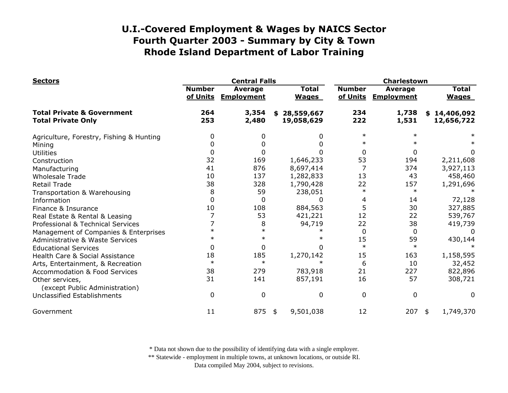| <b>Sectors</b>                                                     |                           | <b>Central Falls</b>         |                              |                           | Charlestown                         |                              |  |  |
|--------------------------------------------------------------------|---------------------------|------------------------------|------------------------------|---------------------------|-------------------------------------|------------------------------|--|--|
|                                                                    | <b>Number</b><br>of Units | Average<br><b>Employment</b> | <b>Total</b><br><b>Wages</b> | <b>Number</b><br>of Units | <b>Average</b><br><b>Employment</b> | <b>Total</b><br><b>Wages</b> |  |  |
| <b>Total Private &amp; Government</b><br><b>Total Private Only</b> | 264<br>253                | 3,354<br>2,480               | \$28,559,667<br>19,058,629   | 234<br>222                | 1,738<br>1,531                      | \$14,406,092<br>12,656,722   |  |  |
| Agriculture, Forestry, Fishing & Hunting                           | 0                         |                              | 0                            | $\ast$                    | $\ast$                              |                              |  |  |
| Mining                                                             | 0                         |                              | 0                            |                           |                                     |                              |  |  |
| <b>Utilities</b>                                                   | 0                         |                              | 0                            | $\mathbf{0}$              | 0                                   | 0                            |  |  |
| Construction                                                       | 32                        | 169                          | 1,646,233                    | 53                        | 194                                 | 2,211,608                    |  |  |
| Manufacturing                                                      | 41                        | 876                          | 8,697,414                    |                           | 374                                 | 3,927,113                    |  |  |
| <b>Wholesale Trade</b>                                             | 10                        | 137                          | 1,282,833                    | 13                        | 43                                  | 458,460                      |  |  |
| <b>Retail Trade</b>                                                | 38                        | 328                          | 1,790,428                    | 22                        | 157                                 | 1,291,696                    |  |  |
| Transportation & Warehousing                                       | 8                         | 59                           | 238,051                      | $\ast$                    | $\ast$                              |                              |  |  |
| Information                                                        | $\Omega$                  | 0                            | O                            | 4                         | 14                                  | 72,128                       |  |  |
| Finance & Insurance                                                | 10                        | 108                          | 884,563                      | 5                         | 30                                  | 327,885                      |  |  |
| Real Estate & Rental & Leasing                                     |                           | 53                           | 421,221                      | 12                        | 22                                  | 539,767                      |  |  |
| Professional & Technical Services                                  |                           | 8                            | 94,719                       | 22                        | 38                                  | 419,739                      |  |  |
| Management of Companies & Enterprises                              |                           | $\ast$                       |                              | $\Omega$                  | 0                                   | 0                            |  |  |
| Administrative & Waste Services                                    |                           | $\ast$                       |                              | 15                        | 59                                  | 430,144                      |  |  |
| <b>Educational Services</b>                                        | $\Omega$                  | 0                            |                              | $\ast$                    | $\ast$                              |                              |  |  |
| Health Care & Social Assistance                                    | 18                        | 185                          | 1,270,142                    | 15                        | 163                                 | 1,158,595                    |  |  |
| Arts, Entertainment, & Recreation                                  | $\ast$                    | $\ast$                       | $\ast$                       | 6                         | 10                                  | 32,452                       |  |  |
| <b>Accommodation &amp; Food Services</b>                           | 38                        | 279                          | 783,918                      | 21                        | 227                                 | 822,896                      |  |  |
| Other services,<br>(except Public Administration)                  | 31                        | 141                          | 857,191                      | 16                        | 57                                  | 308,721                      |  |  |
| Unclassified Establishments                                        | $\mathbf 0$               | $\Omega$                     | 0                            | 0                         | 0                                   | 0                            |  |  |
| Government                                                         | 11                        | 875                          | 9,501,038<br>\$              | 12                        | 207                                 | 1,749,370<br>\$              |  |  |

\* Data not shown due to the possibility of identifying data with a single employer.

\*\* Statewide - employment in multiple towns, at unknown locations, or outside RI.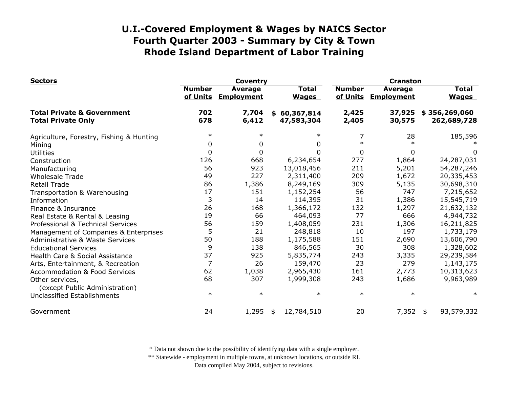| <b>Sectors</b>                                                     |                           | <b>Coventry</b>                     |                              | <b>Cranston</b>           |                              |                              |  |
|--------------------------------------------------------------------|---------------------------|-------------------------------------|------------------------------|---------------------------|------------------------------|------------------------------|--|
|                                                                    | <b>Number</b><br>of Units | <b>Average</b><br><b>Employment</b> | <b>Total</b><br><b>Wages</b> | <b>Number</b><br>of Units | Average<br><b>Employment</b> | <b>Total</b><br><b>Wages</b> |  |
| <b>Total Private &amp; Government</b><br><b>Total Private Only</b> | 702<br>678                | 7,704<br>6,412                      | \$60,367,814<br>47,583,304   | 2,425<br>2,405            | 37,925<br>30,575             | \$356,269,060<br>262,689,728 |  |
| Agriculture, Forestry, Fishing & Hunting                           | $\ast$                    | $\ast$                              | $\ast$                       | 7                         | 28                           | 185,596                      |  |
| Mining                                                             | 0                         | 0                                   | 0                            | $\ast$                    |                              |                              |  |
| <b>Utilities</b>                                                   | 0                         | 0                                   | 0                            | $\Omega$                  | 0                            | 0                            |  |
| Construction                                                       | 126                       | 668                                 | 6,234,654                    | 277                       | 1,864                        | 24,287,031                   |  |
| Manufacturing                                                      | 56                        | 923                                 | 13,018,456                   | 211                       | 5,201                        | 54,287,246                   |  |
| <b>Wholesale Trade</b>                                             | 49                        | 227                                 | 2,311,400                    | 209                       | 1,672                        | 20,335,453                   |  |
| <b>Retail Trade</b>                                                | 86                        | 1,386                               | 8,249,169                    | 309                       | 5,135                        | 30,698,310                   |  |
| Transportation & Warehousing                                       | 17                        | 151                                 | 1,152,254                    | 56                        | 747                          | 7,215,652                    |  |
| Information                                                        | 3                         | 14                                  | 114,395                      | 31                        | 1,386                        | 15,545,719                   |  |
| Finance & Insurance                                                | 26                        | 168                                 | 1,366,172                    | 132                       | 1,297                        | 21,632,132                   |  |
| Real Estate & Rental & Leasing                                     | 19                        | 66                                  | 464,093                      | 77                        | 666                          | 4,944,732                    |  |
| Professional & Technical Services                                  | 56                        | 159                                 | 1,408,059                    | 231                       | 1,306                        | 16,211,825                   |  |
| Management of Companies & Enterprises                              | 5                         | 21                                  | 248,818                      | 10                        | 197                          | 1,733,179                    |  |
| Administrative & Waste Services                                    | 50                        | 188                                 | 1,175,588                    | 151                       | 2,690                        | 13,606,790                   |  |
| <b>Educational Services</b>                                        | 9                         | 138                                 | 846,565                      | 30                        | 308                          | 1,328,602                    |  |
| Health Care & Social Assistance                                    | 37                        | 925                                 | 5,835,774                    | 243                       | 3,335                        | 29,239,584                   |  |
| Arts, Entertainment, & Recreation                                  | 7                         | 26                                  | 159,470                      | 23                        | 279                          | 1,143,175                    |  |
| <b>Accommodation &amp; Food Services</b>                           | 62                        | 1,038                               | 2,965,430                    | 161                       | 2,773                        | 10,313,623                   |  |
| Other services,<br>(except Public Administration)                  | 68                        | 307                                 | 1,999,308                    | 243                       | 1,686                        | 9,963,989                    |  |
| Unclassified Establishments                                        | $\ast$                    | $\ast$                              | ∗                            | $\ast$                    | $\ast$                       | $\ast$                       |  |
| Government                                                         | 24                        | 1,295                               | 12,784,510<br>\$             | 20                        | 7,352                        | 93,579,332<br>- \$           |  |

\* Data not shown due to the possibility of identifying data with a single employer.

\*\* Statewide - employment in multiple towns, at unknown locations, or outside RI.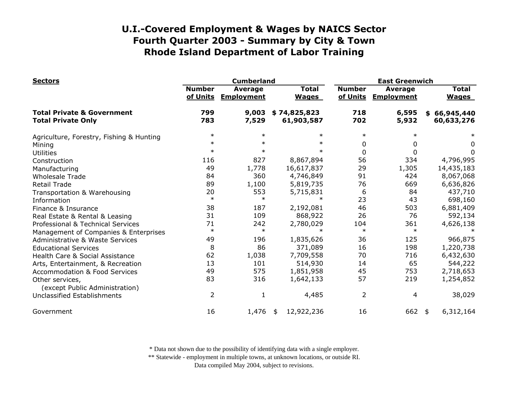| <b>Sectors</b>                                                     |                           | <b>Cumberland</b>                   |                              | <b>East Greenwich</b>     |                                     |                              |  |
|--------------------------------------------------------------------|---------------------------|-------------------------------------|------------------------------|---------------------------|-------------------------------------|------------------------------|--|
|                                                                    | <b>Number</b><br>of Units | <b>Average</b><br><b>Employment</b> | <b>Total</b><br><b>Wages</b> | <b>Number</b><br>of Units | <b>Average</b><br><b>Employment</b> | <b>Total</b><br><b>Wages</b> |  |
| <b>Total Private &amp; Government</b><br><b>Total Private Only</b> | 799<br>783                | 9,003<br>7,529                      | \$74,825,823<br>61,903,587   | 718<br>702                | 6,595<br>5,932                      | \$66,945,440<br>60,633,276   |  |
| Agriculture, Forestry, Fishing & Hunting                           | $\ast$                    | $\ast$                              | $\ast$                       | $\ast$                    | $\ast$                              |                              |  |
| Mining                                                             | $\ast$                    | $\ast$                              | $\ast$                       | 0                         | 0                                   | 0                            |  |
| <b>Utilities</b>                                                   | $\ast$                    | $\ast$                              | $\ast$                       | 0                         | $\Omega$                            | 0                            |  |
| Construction                                                       | 116                       | 827                                 | 8,867,894                    | 56                        | 334                                 | 4,796,995                    |  |
| Manufacturing                                                      | 49                        | 1,778                               | 16,617,837                   | 29                        | 1,305                               | 14,435,183                   |  |
| <b>Wholesale Trade</b>                                             | 84                        | 360                                 | 4,746,849                    | 91                        | 424                                 | 8,067,068                    |  |
| <b>Retail Trade</b>                                                | 89                        | 1,100                               | 5,819,735                    | 76                        | 669                                 | 6,636,826                    |  |
| Transportation & Warehousing                                       | 20                        | 553                                 | 5,715,831                    | 6                         | 84                                  | 437,710                      |  |
| Information                                                        | $\ast$                    | $\ast$                              | $\ast$                       | 23                        | 43                                  | 698,160                      |  |
| Finance & Insurance                                                | 38                        | 187                                 | 2,192,081                    | 46                        | 503                                 | 6,881,409                    |  |
| Real Estate & Rental & Leasing                                     | 31                        | 109                                 | 868,922                      | 26                        | 76                                  | 592,134                      |  |
| Professional & Technical Services                                  | 71                        | 242                                 | 2,780,029                    | 104                       | 361                                 | 4,626,138                    |  |
| Management of Companies & Enterprises                              | $\ast$                    | $\ast$                              |                              | $\ast$                    | $\ast$                              |                              |  |
| Administrative & Waste Services                                    | 49                        | 196                                 | 1,835,626                    | 36                        | 125                                 | 966,875                      |  |
| <b>Educational Services</b>                                        | 8                         | 86                                  | 371,089                      | 16                        | 198                                 | 1,220,738                    |  |
| Health Care & Social Assistance                                    | 62                        | 1,038                               | 7,709,558                    | 70                        | 716                                 | 6,432,630                    |  |
| Arts, Entertainment, & Recreation                                  | 13                        | 101                                 | 514,930                      | 14                        | 65                                  | 544,222                      |  |
| <b>Accommodation &amp; Food Services</b>                           | 49                        | 575                                 | 1,851,958                    | 45                        | 753                                 | 2,718,653                    |  |
| Other services,<br>(except Public Administration)                  | 83                        | 316                                 | 1,642,133                    | 57                        | 219                                 | 1,254,852                    |  |
| Unclassified Establishments                                        | $\overline{2}$            | 1                                   | 4,485                        | $\overline{2}$            | 4                                   | 38,029                       |  |
| Government                                                         | 16                        | 1,476                               | 12,922,236<br>\$             | 16                        | 662                                 | 6,312,164<br>\$              |  |

\* Data not shown due to the possibility of identifying data with a single employer.

\*\* Statewide - employment in multiple towns, at unknown locations, or outside RI.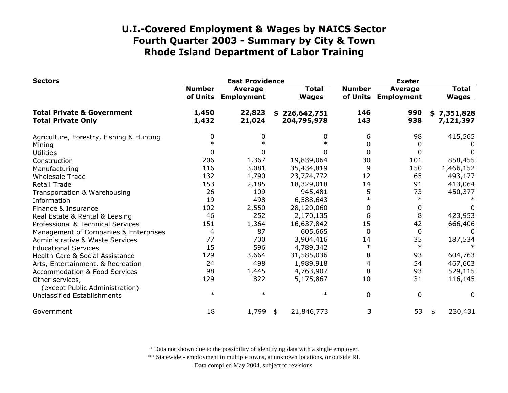| <b>Sectors</b>                                                     |                           | <b>East Providence</b>       |                              | <b>Exeter</b>             |                                     |                              |  |
|--------------------------------------------------------------------|---------------------------|------------------------------|------------------------------|---------------------------|-------------------------------------|------------------------------|--|
|                                                                    | <b>Number</b><br>of Units | Average<br><b>Employment</b> | <b>Total</b><br><b>Wages</b> | <b>Number</b><br>of Units | <b>Average</b><br><b>Employment</b> | <b>Total</b><br><b>Wages</b> |  |
| <b>Total Private &amp; Government</b><br><b>Total Private Only</b> | 1,450<br>1,432            | 22,823<br>21,024             | \$226,642,751<br>204,795,978 | 146<br>143                | 990<br>938                          | \$7,351,828<br>7,121,397     |  |
| Agriculture, Forestry, Fishing & Hunting                           | 0                         | 0                            | 0                            | 6                         | 98                                  | 415,565                      |  |
| Mining                                                             | $\ast$                    |                              |                              | 0                         | 0                                   |                              |  |
| <b>Utilities</b>                                                   | 0                         | 0                            |                              | $\mathbf 0$               | 0                                   | $\Omega$                     |  |
| Construction                                                       | 206                       | 1,367                        | 19,839,064                   | 30                        | 101                                 | 858,455                      |  |
| Manufacturing                                                      | 116                       | 3,081                        | 35,434,819                   | 9                         | 150                                 | 1,466,152                    |  |
| <b>Wholesale Trade</b>                                             | 132                       | 1,790                        | 23,724,772                   | 12                        | 65                                  | 493,177                      |  |
| <b>Retail Trade</b>                                                | 153                       | 2,185                        | 18,329,018                   | 14                        | 91                                  | 413,064                      |  |
| Transportation & Warehousing                                       | 26                        | 109                          | 945,481                      | 5                         | 73                                  | 450,377                      |  |
| Information                                                        | 19                        | 498                          | 6,588,643                    | $\ast$                    | $\ast$                              |                              |  |
| Finance & Insurance                                                | 102                       | 2,550                        | 28,120,060                   | 0                         | 0                                   | 0                            |  |
| Real Estate & Rental & Leasing                                     | 46                        | 252                          | 2,170,135                    | 6                         | 8                                   | 423,953                      |  |
| Professional & Technical Services                                  | 151                       | 1,364                        | 16,637,842                   | 15                        | 42                                  | 666,406                      |  |
| Management of Companies & Enterprises                              | 4                         | 87                           | 605,665                      | $\mathbf{0}$              | 0                                   | $\Omega$                     |  |
| <b>Administrative &amp; Waste Services</b>                         | 77                        | 700                          | 3,904,416                    | 14                        | 35                                  | 187,534                      |  |
| <b>Educational Services</b>                                        | 15                        | 596                          | 4,789,342                    | $\ast$                    | $\ast$                              |                              |  |
| Health Care & Social Assistance                                    | 129                       | 3,664                        | 31,585,036                   | 8                         | 93                                  | 604,763                      |  |
| Arts, Entertainment, & Recreation                                  | 24                        | 498                          | 1,989,918                    | 4                         | 54                                  | 467,603                      |  |
| <b>Accommodation &amp; Food Services</b>                           | 98                        | 1,445                        | 4,763,907                    | 8                         | 93                                  | 529,115                      |  |
| Other services,                                                    | 129                       | 822                          | 5,175,867                    | 10                        | 31                                  | 116,145                      |  |
| (except Public Administration)<br>Unclassified Establishments      | $\ast$                    | $\ast$                       | $\ast$                       | $\mathbf 0$               | 0                                   | $\Omega$                     |  |
| Government                                                         | 18                        | 1,799                        | 21,846,773<br>\$             | 3                         | 53                                  | 230,431<br>\$                |  |

\* Data not shown due to the possibility of identifying data with a single employer.

\*\* Statewide - employment in multiple towns, at unknown locations, or outside RI.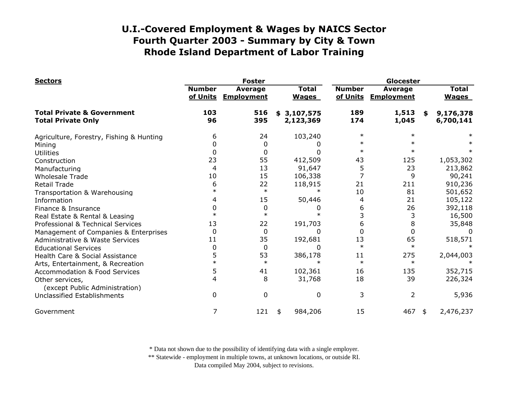| <b>Sectors</b>                                                     |                           | <b>Foster</b>                       |                              |                           | Glocester                    |    |                              |  |
|--------------------------------------------------------------------|---------------------------|-------------------------------------|------------------------------|---------------------------|------------------------------|----|------------------------------|--|
|                                                                    | <b>Number</b><br>of Units | <b>Average</b><br><b>Employment</b> | <b>Total</b><br><b>Wages</b> | <b>Number</b><br>of Units | Average<br><b>Employment</b> |    | <b>Total</b><br><b>Wages</b> |  |
| <b>Total Private &amp; Government</b><br><b>Total Private Only</b> | 103<br>96                 | 516<br>395                          | 3,107,575<br>\$<br>2,123,369 | 189<br>174                | 1,513<br>1,045               | \$ | 9,176,378<br>6,700,141       |  |
| Agriculture, Forestry, Fishing & Hunting                           | 6                         | 24                                  | 103,240                      | $\ast$                    | $\ast$                       |    |                              |  |
| Mining                                                             |                           | 0                                   |                              |                           | $\ast$                       |    |                              |  |
| <b>Utilities</b>                                                   | 0                         | 0                                   | 0                            | $\ast$                    | $\ast$                       |    |                              |  |
| Construction                                                       | 23                        | 55                                  | 412,509                      | 43                        | 125                          |    | 1,053,302                    |  |
| Manufacturing                                                      | 4                         | 13                                  | 91,647                       | 5                         | 23                           |    | 213,862                      |  |
| <b>Wholesale Trade</b>                                             | 10                        | 15                                  | 106,338                      |                           | 9                            |    | 90,241                       |  |
| <b>Retail Trade</b>                                                | 6                         | 22                                  | 118,915                      | 21                        | 211                          |    | 910,236                      |  |
| Transportation & Warehousing                                       | $\ast$                    | $\ast$                              | $\ast$                       | 10                        | 81                           |    | 501,652                      |  |
| Information                                                        | 4                         | 15                                  | 50,446                       | 4                         | 21                           |    | 105,122                      |  |
| Finance & Insurance                                                | O                         | 0                                   |                              | 6                         | 26                           |    | 392,118                      |  |
| Real Estate & Rental & Leasing                                     | $\ast$                    | $\ast$                              |                              |                           | 3                            |    | 16,500                       |  |
| Professional & Technical Services                                  | 13                        | 22                                  | 191,703                      | 6                         | 8                            |    | 35,848                       |  |
| Management of Companies & Enterprises                              | 0                         | 0                                   | 0                            |                           | $\overline{0}$               |    | $\Omega$                     |  |
| <b>Administrative &amp; Waste Services</b>                         | 11                        | 35                                  | 192,681                      | 13                        | 65                           |    | 518,571                      |  |
| <b>Educational Services</b>                                        | 0                         | 0                                   | 0                            | $\ast$                    | $\ast$                       |    |                              |  |
| Health Care & Social Assistance                                    | 5                         | 53                                  | 386,178                      | 11                        | 275                          |    | 2,044,003                    |  |
| Arts, Entertainment, & Recreation                                  | $\ast$                    | $\ast$                              |                              | $\ast$                    | $\ast$                       |    |                              |  |
| <b>Accommodation &amp; Food Services</b>                           | 5                         | 41                                  | 102,361                      | 16                        | 135                          |    | 352,715                      |  |
| Other services,<br>(except Public Administration)                  | 4                         | 8                                   | 31,768                       | 18                        | 39                           |    | 226,324                      |  |
| <b>Unclassified Establishments</b>                                 | 0                         | 0                                   | 0                            | 3                         | $\overline{2}$               |    | 5,936                        |  |
| Government                                                         | 7                         | 121                                 | 984,206<br>\$                | 15                        | $467$ \$                     |    | 2,476,237                    |  |

\* Data not shown due to the possibility of identifying data with a single employer.

\*\* Statewide - employment in multiple towns, at unknown locations, or outside RI.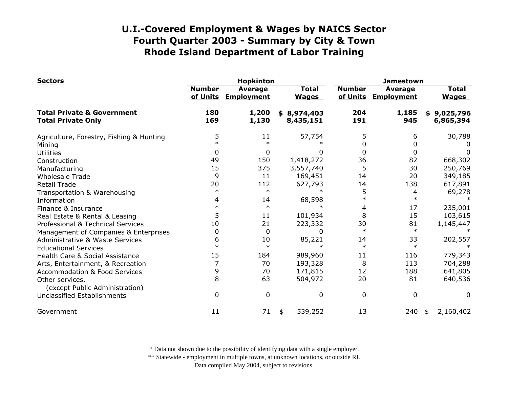| <b>Sectors</b>                                                     |                           | <b>Hopkinton</b>                    |                          | <b>Jamestown</b>             |                           |                                     |                              |
|--------------------------------------------------------------------|---------------------------|-------------------------------------|--------------------------|------------------------------|---------------------------|-------------------------------------|------------------------------|
|                                                                    | <b>Number</b><br>of Units | <b>Average</b><br><b>Employment</b> |                          | <b>Total</b><br><b>Wages</b> | <b>Number</b><br>of Units | <b>Average</b><br><b>Employment</b> | <b>Total</b><br><b>Wages</b> |
| <b>Total Private &amp; Government</b><br><b>Total Private Only</b> | 180<br>169                | 1,200<br>1,130                      | \$8,974,403<br>8,435,151 |                              | 204<br>191                | 1,185<br>945                        | \$9,025,796<br>6,865,394     |
| Agriculture, Forestry, Fishing & Hunting                           | 5                         | 11                                  |                          | 57,754                       | 5                         | 6                                   | 30,788                       |
| Mining                                                             | $\ast$                    | $\ast$                              |                          |                              | 0                         | 0                                   |                              |
| <b>Utilities</b>                                                   | 0                         | 0                                   |                          | 0                            | 0                         | 0                                   | 0                            |
| Construction                                                       | 49                        | 150                                 |                          | 1,418,272                    | 36                        | 82                                  | 668,302                      |
| Manufacturing                                                      | 15                        | 375                                 |                          | 3,557,740                    | 5                         | 30                                  | 250,769                      |
| <b>Wholesale Trade</b>                                             | 9                         | 11                                  |                          | 169,451                      | 14                        | 20                                  | 349,185                      |
| <b>Retail Trade</b>                                                | 20                        | 112                                 |                          | 627,793                      | 14                        | 138                                 | 617,891                      |
| Transportation & Warehousing                                       | $\ast$                    | $\ast$                              |                          | $\ast$                       | 5                         | 4                                   | 69,278                       |
| Information                                                        | 4                         | 14                                  |                          | 68,598                       | $\ast$                    | $\ast$                              |                              |
| Finance & Insurance                                                | $\ast$                    | $\ast$                              |                          |                              | 4                         | 17                                  | 235,001                      |
| Real Estate & Rental & Leasing                                     | 5                         | 11                                  |                          | 101,934                      | 8                         | 15                                  | 103,615                      |
| Professional & Technical Services                                  | 10                        | 21                                  |                          | 223,332                      | 30                        | 81                                  | 1,145,447                    |
| Management of Companies & Enterprises                              | 0                         | $\Omega$                            |                          | $\Omega$                     | $\ast$                    | $\ast$                              |                              |
| <b>Administrative &amp; Waste Services</b>                         | 6                         | 10                                  |                          | 85,221                       | 14                        | 33                                  | 202,557                      |
| <b>Educational Services</b>                                        | $\ast$                    | $\ast$                              |                          |                              | $\ast$                    | $\ast$                              |                              |
| Health Care & Social Assistance                                    | 15                        | 184                                 |                          | 989,960                      | 11                        | 116                                 | 779,343                      |
| Arts, Entertainment, & Recreation                                  |                           | 70                                  |                          | 193,328                      | 8                         | 113                                 | 704,288                      |
| <b>Accommodation &amp; Food Services</b>                           | 9                         | 70                                  |                          | 171,815                      | 12                        | 188                                 | 641,805                      |
| Other services,<br>(except Public Administration)                  | 8                         | 63                                  |                          | 504,972                      | 20                        | 81                                  | 640,536                      |
| <b>Unclassified Establishments</b>                                 | $\Omega$                  | 0                                   |                          | $\mathbf{0}$                 | 0                         | 0                                   | 0                            |
| Government                                                         | 11                        | 71                                  | \$                       | 539,252                      | 13                        | 240                                 | 2,160,402<br>\$              |

\* Data not shown due to the possibility of identifying data with a single employer.

\*\* Statewide - employment in multiple towns, at unknown locations, or outside RI.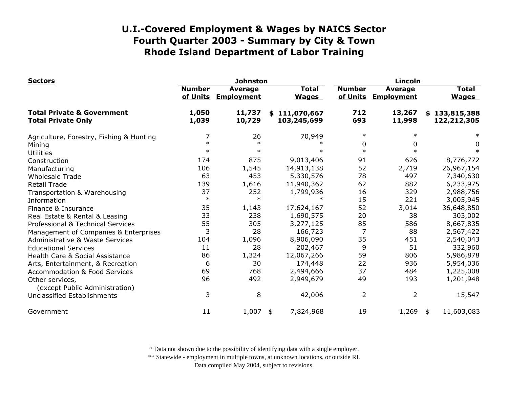| <b>Sectors</b>                                                     |                           | <b>Johnston</b>                     |    | Lincoln                      |                           |                                     |    |                              |
|--------------------------------------------------------------------|---------------------------|-------------------------------------|----|------------------------------|---------------------------|-------------------------------------|----|------------------------------|
|                                                                    | <b>Number</b><br>of Units | <b>Average</b><br><b>Employment</b> |    | <b>Total</b><br><b>Wages</b> | <b>Number</b><br>of Units | <b>Average</b><br><b>Employment</b> |    | <b>Total</b><br><b>Wages</b> |
| <b>Total Private &amp; Government</b><br><b>Total Private Only</b> | 1,050<br>1,039            | 11,737<br>10,729                    |    | \$111,070,667<br>103,245,699 | 712<br>693                | 13,267<br>11,998                    |    | \$133,815,388<br>122,212,305 |
| Agriculture, Forestry, Fishing & Hunting                           | 7                         | 26                                  |    | 70,949                       | $\ast$                    | $\ast$                              |    |                              |
| Mining                                                             | $\ast$                    | $\ast$                              |    |                              | 0                         | 0                                   |    | 0                            |
| <b>Utilities</b>                                                   | $\ast$                    | $\ast$                              |    | ж                            | $\ast$                    |                                     |    |                              |
| Construction                                                       | 174                       | 875                                 |    | 9,013,406                    | 91                        | 626                                 |    | 8,776,772                    |
| Manufacturing                                                      | 106                       | 1,545                               |    | 14,913,138                   | 52                        | 2,719                               |    | 26,967,154                   |
| <b>Wholesale Trade</b>                                             | 63                        | 453                                 |    | 5,330,576                    | 78                        | 497                                 |    | 7,340,630                    |
| <b>Retail Trade</b>                                                | 139                       | 1,616                               |    | 11,940,362                   | 62                        | 882                                 |    | 6,233,975                    |
| Transportation & Warehousing                                       | 37                        | 252                                 |    | 1,799,936                    | 16                        | 329                                 |    | 2,988,756                    |
| Information                                                        | $\ast$                    | $\ast$                              |    | ж                            | 15                        | 221                                 |    | 3,005,945                    |
| Finance & Insurance                                                | 35                        | 1,143                               |    | 17,624,167                   | 52                        | 3,014                               |    | 36,648,850                   |
| Real Estate & Rental & Leasing                                     | 33                        | 238                                 |    | 1,690,575                    | 20                        | 38                                  |    | 303,002                      |
| Professional & Technical Services                                  | 55                        | 305                                 |    | 3,277,125                    | 85                        | 586                                 |    | 8,667,835                    |
| Management of Companies & Enterprises                              | 3                         | 28                                  |    | 166,723                      | 7                         | 88                                  |    | 2,567,422                    |
| Administrative & Waste Services                                    | 104                       | 1,096                               |    | 8,906,090                    | 35                        | 451                                 |    | 2,540,043                    |
| <b>Educational Services</b>                                        | 11                        | 28                                  |    | 202,467                      | 9                         | 51                                  |    | 332,960                      |
| Health Care & Social Assistance                                    | 86                        | 1,324                               |    | 12,067,266                   | 59                        | 806                                 |    | 5,986,878                    |
| Arts, Entertainment, & Recreation                                  | 6                         | 30                                  |    | 174,448                      | 22                        | 936                                 |    | 5,954,036                    |
| <b>Accommodation &amp; Food Services</b>                           | 69                        | 768                                 |    | 2,494,666                    | 37                        | 484                                 |    | 1,225,008                    |
| Other services,<br>(except Public Administration)                  | 96                        | 492                                 |    | 2,949,679                    | 49                        | 193                                 |    | 1,201,948                    |
| Unclassified Establishments                                        | 3                         | 8                                   |    | 42,006                       | 2                         | $\overline{2}$                      |    | 15,547                       |
| Government                                                         | 11                        | 1,007                               | \$ | 7,824,968                    | 19                        | 1,269                               | \$ | 11,603,083                   |

\* Data not shown due to the possibility of identifying data with a single employer.

\*\* Statewide - employment in multiple towns, at unknown locations, or outside RI.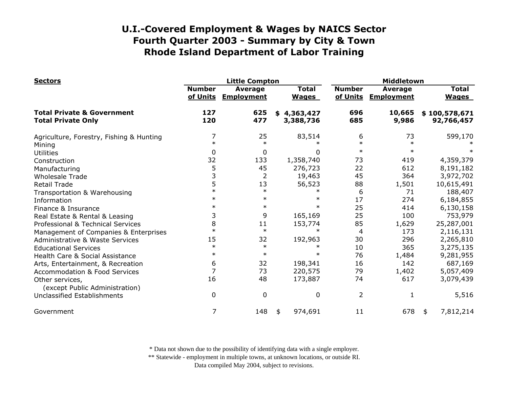| <b>Sectors</b>                                                     |                           | <b>Little Compton</b>               |                              |                           | Middletown                          |                              |  |  |
|--------------------------------------------------------------------|---------------------------|-------------------------------------|------------------------------|---------------------------|-------------------------------------|------------------------------|--|--|
|                                                                    | <b>Number</b><br>of Units | <b>Average</b><br><b>Employment</b> | <b>Total</b><br><b>Wages</b> | <b>Number</b><br>of Units | <b>Average</b><br><b>Employment</b> | <b>Total</b><br><b>Wages</b> |  |  |
| <b>Total Private &amp; Government</b><br><b>Total Private Only</b> | 127<br>120                | 625<br>477                          | \$4,363,427<br>3,388,736     | 696<br>685                | 10,665<br>9,986                     | \$100,578,671<br>92,766,457  |  |  |
| Agriculture, Forestry, Fishing & Hunting                           | 7                         | 25                                  | 83,514                       | 6                         | 73                                  | 599,170                      |  |  |
| Mining                                                             | $\ast$                    | $\ast$                              |                              | $\ast$                    | $\ast$                              |                              |  |  |
| <b>Utilities</b>                                                   | 0                         | 0                                   | 0                            | $\ast$                    | $\ast$                              |                              |  |  |
| Construction                                                       | 32                        | 133                                 | 1,358,740                    | 73                        | 419                                 | 4,359,379                    |  |  |
| Manufacturing                                                      | 5                         | 45                                  | 276,723                      | 22                        | 612                                 | 8,191,182                    |  |  |
| <b>Wholesale Trade</b>                                             | 3                         | $\overline{2}$                      | 19,463                       | 45                        | 364                                 | 3,972,702                    |  |  |
| <b>Retail Trade</b>                                                | 5                         | 13                                  | 56,523                       | 88                        | 1,501                               | 10,615,491                   |  |  |
| Transportation & Warehousing                                       | $\ast$                    | $\ast$                              | $\ast$                       | 6                         | 71                                  | 188,407                      |  |  |
| Information                                                        | $\ast$                    | $\ast$                              | $\ast$                       | 17                        | 274                                 | 6,184,855                    |  |  |
| Finance & Insurance                                                | $\ast$                    | $\ast$                              | $\ast$                       | 25                        | 414                                 | 6,130,158                    |  |  |
| Real Estate & Rental & Leasing                                     | 3                         | 9                                   | 165,169                      | 25                        | 100                                 | 753,979                      |  |  |
| Professional & Technical Services                                  | 8                         | 11                                  | 153,774                      | 85                        | 1,629                               | 25,287,001                   |  |  |
| Management of Companies & Enterprises                              | $\ast$                    | $\ast$                              | $\ast$                       | 4                         | 173                                 | 2,116,131                    |  |  |
| <b>Administrative &amp; Waste Services</b>                         | 15                        | 32                                  | 192,963                      | 30                        | 296                                 | 2,265,810                    |  |  |
| <b>Educational Services</b>                                        | $\ast$                    | $\ast$                              | $\ast$                       | 10                        | 365                                 | 3,275,135                    |  |  |
| Health Care & Social Assistance                                    | $\ast$                    | $\ast$                              | $\ast$                       | 76                        | 1,484                               | 9,281,955                    |  |  |
| Arts, Entertainment, & Recreation                                  | 6                         | 32                                  | 198,341                      | 16                        | 142                                 | 687,169                      |  |  |
| <b>Accommodation &amp; Food Services</b>                           | $\overline{7}$            | 73                                  | 220,575                      | 79                        | 1,402                               | 5,057,409                    |  |  |
| Other services,<br>(except Public Administration)                  | 16                        | 48                                  | 173,887                      | 74                        | 617                                 | 3,079,439                    |  |  |
| Unclassified Establishments                                        | 0                         | 0                                   | 0                            | $\overline{2}$            | 1                                   | 5,516                        |  |  |
| Government                                                         | 7                         | 148                                 | 974,691<br>\$                | 11                        | 678                                 | 7,812,214<br>\$              |  |  |

\* Data not shown due to the possibility of identifying data with a single employer.

\*\* Statewide - employment in multiple towns, at unknown locations, or outside RI.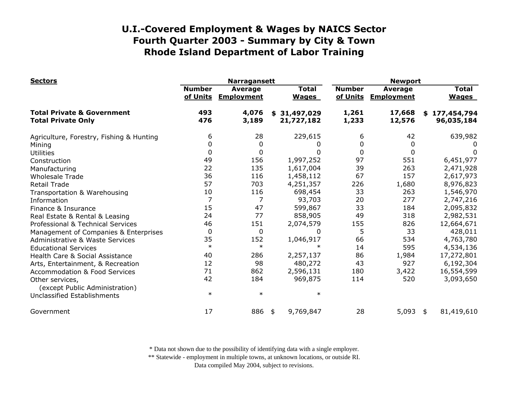| <b>Sectors</b>                                                     |                           | <b>Narragansett</b>                 |                              | <b>Newport</b>            |                              |                              |  |
|--------------------------------------------------------------------|---------------------------|-------------------------------------|------------------------------|---------------------------|------------------------------|------------------------------|--|
|                                                                    | <b>Number</b><br>of Units | <b>Average</b><br><b>Employment</b> | <b>Total</b><br><b>Wages</b> | <b>Number</b><br>of Units | Average<br><b>Employment</b> | <b>Total</b><br><b>Wages</b> |  |
| <b>Total Private &amp; Government</b><br><b>Total Private Only</b> | 493<br>476                | 4,076<br>3,189                      | \$31,497,029<br>21,727,182   | 1,261<br>1,233            | 17,668<br>12,576             | \$177,454,794<br>96,035,184  |  |
| Agriculture, Forestry, Fishing & Hunting                           | 6                         | 28                                  | 229,615                      | 6                         | 42                           | 639,982                      |  |
| Mining                                                             | 0                         | 0                                   |                              | 0                         | 0                            |                              |  |
| <b>Utilities</b>                                                   | $\mathbf 0$               | $\mathbf 0$                         | 0                            | 0                         | 0                            | 0                            |  |
| Construction                                                       | 49                        | 156                                 | 1,997,252                    | 97                        | 551                          | 6,451,977                    |  |
| Manufacturing                                                      | 22                        | 135                                 | 1,617,004                    | 39                        | 263                          | 2,471,928                    |  |
| <b>Wholesale Trade</b>                                             | 36                        | 116                                 | 1,458,112                    | 67                        | 157                          | 2,617,973                    |  |
| <b>Retail Trade</b>                                                | 57                        | 703                                 | 4,251,357                    | 226                       | 1,680                        | 8,976,823                    |  |
| Transportation & Warehousing                                       | 10                        | 116                                 | 698,454                      | 33                        | 263                          | 1,546,970                    |  |
| Information                                                        | 7                         | $\overline{7}$                      | 93,703                       | 20                        | 277                          | 2,747,216                    |  |
| Finance & Insurance                                                | 15                        | 47                                  | 599,867                      | 33                        | 184                          | 2,095,832                    |  |
| Real Estate & Rental & Leasing                                     | 24                        | 77                                  | 858,905                      | 49                        | 318                          | 2,982,531                    |  |
| Professional & Technical Services                                  | 46                        | 151                                 | 2,074,579                    | 155                       | 826                          | 12,664,671                   |  |
| Management of Companies & Enterprises                              | $\mathbf 0$               | $\mathbf 0$                         | 0                            | 5                         | 33                           | 428,011                      |  |
| <b>Administrative &amp; Waste Services</b>                         | 35                        | 152                                 | 1,046,917                    | 66                        | 534                          | 4,763,780                    |  |
| <b>Educational Services</b>                                        | $\ast$                    | $\ast$                              |                              | 14                        | 595                          | 4,534,136                    |  |
| Health Care & Social Assistance                                    | 40                        | 286                                 | 2,257,137                    | 86                        | 1,984                        | 17,272,801                   |  |
| Arts, Entertainment, & Recreation                                  | 12                        | 98                                  | 480,272                      | 43                        | 927                          | 6,192,304                    |  |
| <b>Accommodation &amp; Food Services</b>                           | 71                        | 862                                 | 2,596,131                    | 180                       | 3,422                        | 16,554,599                   |  |
| Other services,<br>(except Public Administration)                  | 42                        | 184                                 | 969,875                      | 114                       | 520                          | 3,093,650                    |  |
| Unclassified Establishments                                        | $\ast$                    | $\ast$                              | $\ast$                       |                           |                              |                              |  |
| Government                                                         | 17                        | 886                                 | 9,769,847<br>\$              | 28                        | 5,093                        | 81,419,610<br>\$             |  |

\* Data not shown due to the possibility of identifying data with a single employer.

\*\* Statewide - employment in multiple towns, at unknown locations, or outside RI.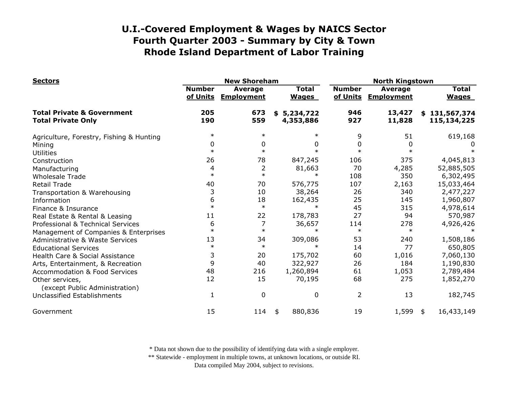| <b>Sectors</b>                                                     |                           | <b>New Shoreham</b>          |                              | <b>North Kingstown</b>    |                                     |                              |  |
|--------------------------------------------------------------------|---------------------------|------------------------------|------------------------------|---------------------------|-------------------------------------|------------------------------|--|
|                                                                    | <b>Number</b><br>of Units | Average<br><b>Employment</b> | <b>Total</b><br><b>Wages</b> | <b>Number</b><br>of Units | <b>Average</b><br><b>Employment</b> | <b>Total</b><br><b>Wages</b> |  |
| <b>Total Private &amp; Government</b><br><b>Total Private Only</b> | 205<br>190                | 673<br>559                   | \$5,234,722<br>4,353,886     | 946<br>927                | 13,427<br>11,828                    | \$131,567,374<br>115,134,225 |  |
| Agriculture, Forestry, Fishing & Hunting                           | $\ast$                    | $\ast$                       |                              | 9                         | 51                                  | 619,168                      |  |
| Mining                                                             | 0                         | 0                            | 0                            | 0                         | $\Omega$                            |                              |  |
| <b>Utilities</b>                                                   | $\ast$                    | $\ast$                       |                              | $\ast$                    |                                     |                              |  |
| Construction                                                       | 26                        | 78                           | 847,245                      | 106                       | 375                                 | 4,045,813                    |  |
| Manufacturing                                                      | 4                         | 2                            | 81,663                       | 70                        | 4,285                               | 52,885,505                   |  |
| <b>Wholesale Trade</b>                                             | $\ast$                    | $\ast$                       |                              | 108                       | 350                                 | 6,302,495                    |  |
| <b>Retail Trade</b>                                                | 40                        | 70                           | 576,775                      | 107                       | 2,163                               | 15,033,464                   |  |
| Transportation & Warehousing                                       | 3                         | 10                           | 38,264                       | 26                        | 340                                 | 2,477,227                    |  |
| Information                                                        | 6                         | 18                           | 162,435                      | 25                        | 145                                 | 1,960,807                    |  |
| Finance & Insurance                                                | $\ast$                    | $\ast$                       | $\ast$                       | 45                        | 315                                 | 4,978,614                    |  |
| Real Estate & Rental & Leasing                                     | 11                        | 22                           | 178,783                      | 27                        | 94                                  | 570,987                      |  |
| Professional & Technical Services                                  | 6                         | 7                            | 36,657                       | 114                       | 278                                 | 4,926,426                    |  |
| Management of Companies & Enterprises                              | $\ast$                    | $\ast$                       | $\ast$                       | $\ast$                    | $\ast$                              |                              |  |
| <b>Administrative &amp; Waste Services</b>                         | 13                        | 34                           | 309,086                      | 53                        | 240                                 | 1,508,186                    |  |
| <b>Educational Services</b>                                        | $\ast$                    | $\ast$                       |                              | 14                        | 77                                  | 650,805                      |  |
| Health Care & Social Assistance                                    | 3                         | 20                           | 175,702                      | 60                        | 1,016                               | 7,060,130                    |  |
| Arts, Entertainment, & Recreation                                  | 9                         | 40                           | 322,927                      | 26                        | 184                                 | 1,190,830                    |  |
| <b>Accommodation &amp; Food Services</b>                           | 48                        | 216                          | 1,260,894                    | 61                        | 1,053                               | 2,789,484                    |  |
| Other services,<br>(except Public Administration)                  | 12                        | 15                           | 70,195                       | 68                        | 275                                 | 1,852,270                    |  |
| Unclassified Establishments                                        | 1                         | $\mathbf{0}$                 | 0                            | 2                         | 13                                  | 182,745                      |  |
| Government                                                         | 15                        | 114                          | 880,836<br>\$                | 19                        | 1,599                               | 16,433,149<br>\$             |  |

\* Data not shown due to the possibility of identifying data with a single employer.

\*\* Statewide - employment in multiple towns, at unknown locations, or outside RI.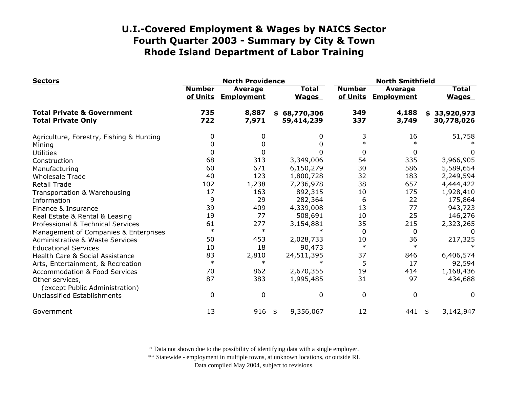| <b>Sectors</b>                                                     |                           | <b>North Providence</b>             |                              | <b>North Smithfield</b>   |                                     |                              |  |
|--------------------------------------------------------------------|---------------------------|-------------------------------------|------------------------------|---------------------------|-------------------------------------|------------------------------|--|
|                                                                    | <b>Number</b><br>of Units | <b>Average</b><br><b>Employment</b> | <b>Total</b><br><b>Wages</b> | <b>Number</b><br>of Units | <b>Average</b><br><b>Employment</b> | <b>Total</b><br><b>Wages</b> |  |
| <b>Total Private &amp; Government</b><br><b>Total Private Only</b> | 735<br>722                | 8,887<br>7,971                      | \$68,770,306<br>59,414,239   | 349<br>337                | 4,188<br>3,749                      | \$33,920,973<br>30,778,026   |  |
| Agriculture, Forestry, Fishing & Hunting                           | 0                         | 0                                   | 0                            | 3                         | 16                                  | 51,758                       |  |
| Mining                                                             | 0                         | 0                                   | 0                            | $\ast$                    | $\ast$                              |                              |  |
| <b>Utilities</b>                                                   | $\mathbf 0$               |                                     | 0                            | 0                         | 0                                   | 0                            |  |
| Construction                                                       | 68                        | 313                                 | 3,349,006                    | 54                        | 335                                 | 3,966,905                    |  |
| Manufacturing                                                      | 60                        | 671                                 | 6,150,279                    | 30                        | 586                                 | 5,589,654                    |  |
| <b>Wholesale Trade</b>                                             | 40                        | 123                                 | 1,800,728                    | 32                        | 183                                 | 2,249,594                    |  |
| <b>Retail Trade</b>                                                | 102                       | 1,238                               | 7,236,978                    | 38                        | 657                                 | 4,444,422                    |  |
| Transportation & Warehousing                                       | 17                        | 163                                 | 892,315                      | 10                        | 175                                 | 1,928,410                    |  |
| Information                                                        | 9                         | 29                                  | 282,364                      | 6                         | 22                                  | 175,864                      |  |
| Finance & Insurance                                                | 39                        | 409                                 | 4,339,008                    | 13                        | 77                                  | 943,723                      |  |
| Real Estate & Rental & Leasing                                     | 19                        | 77                                  | 508,691                      | 10                        | 25                                  | 146,276                      |  |
| Professional & Technical Services                                  | 61                        | 277                                 | 3,154,881                    | 35                        | 215                                 | 2,323,265                    |  |
| Management of Companies & Enterprises                              | $\ast$                    | $\ast$                              | $\ast$                       | $\Omega$                  | 0                                   |                              |  |
| <b>Administrative &amp; Waste Services</b>                         | 50                        | 453                                 | 2,028,733                    | 10                        | 36                                  | 217,325                      |  |
| <b>Educational Services</b>                                        | 10                        | 18                                  | 90,473                       | $\ast$                    | $\ast$                              |                              |  |
| Health Care & Social Assistance                                    | 83                        | 2,810                               | 24,511,395                   | 37                        | 846                                 | 6,406,574                    |  |
| Arts, Entertainment, & Recreation                                  | $\ast$                    | $\ast$                              | $\ast$                       | 5                         | 17                                  | 92,594                       |  |
| <b>Accommodation &amp; Food Services</b>                           | 70                        | 862                                 | 2,670,355                    | 19                        | 414                                 | 1,168,436                    |  |
| Other services,                                                    | 87                        | 383                                 | 1,995,485                    | 31                        | 97                                  | 434,688                      |  |
| (except Public Administration)                                     |                           |                                     |                              |                           |                                     |                              |  |
| Unclassified Establishments                                        | 0                         | $\mathbf{0}$                        | 0                            | $\mathbf 0$               | $\mathbf 0$                         | 0                            |  |
| Government                                                         | 13                        | 916                                 | 9,356,067<br>\$              | 12                        | 441                                 | 3,142,947<br>\$              |  |

\* Data not shown due to the possibility of identifying data with a single employer.

\*\* Statewide - employment in multiple towns, at unknown locations, or outside RI.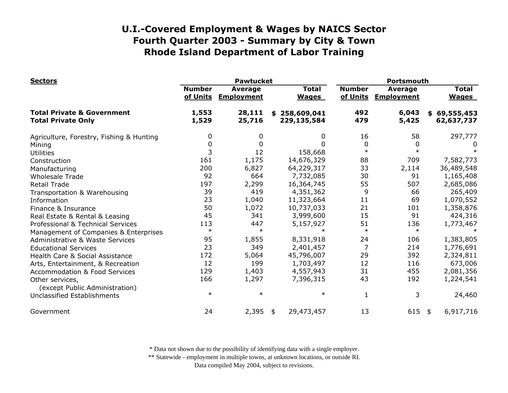| <b>Sectors</b>                                                     | <b>Pawtucket</b>          |                                     |                              | Portsmouth                |                                     |                              |  |
|--------------------------------------------------------------------|---------------------------|-------------------------------------|------------------------------|---------------------------|-------------------------------------|------------------------------|--|
|                                                                    | <b>Number</b><br>of Units | <b>Average</b><br><b>Employment</b> | <b>Total</b><br><b>Wages</b> | <b>Number</b><br>of Units | <b>Average</b><br><b>Employment</b> | <b>Total</b><br><b>Wages</b> |  |
| <b>Total Private &amp; Government</b><br><b>Total Private Only</b> | 1,553<br>1,529            | 28,111<br>25,716                    | \$258,609,041<br>229,135,584 | 492<br>479                | 6,043<br>5,425                      | \$69,555,453<br>62,637,737   |  |
| Agriculture, Forestry, Fishing & Hunting                           | 0                         | 0                                   | 0                            | 16                        | 58                                  | 297,777                      |  |
| Mining                                                             | 0                         | $\Omega$                            | U                            | 0                         | 0                                   | U                            |  |
| <b>Utilities</b>                                                   | 3                         | 12                                  | 158,668                      | $\ast$                    | $\ast$                              |                              |  |
| Construction                                                       | 161                       | 1,175                               | 14,676,329                   | 88                        | 709                                 | 7,582,773                    |  |
| Manufacturing                                                      | 200                       | 6,827                               | 64,229,317                   | 33                        | 2,114                               | 36,489,548                   |  |
| <b>Wholesale Trade</b>                                             | 92                        | 664                                 | 7,732,085                    | 30                        | 91                                  | 1,165,408                    |  |
| <b>Retail Trade</b>                                                | 197                       | 2,299                               | 16,364,745                   | 55                        | 507                                 | 2,685,086                    |  |
| Transportation & Warehousing                                       | 39                        | 419                                 | 4,351,362                    | 9                         | 66                                  | 265,409                      |  |
| Information                                                        | 23                        | 1,040                               | 11,323,664                   | 11                        | 69                                  | 1,070,552                    |  |
| Finance & Insurance                                                | 50                        | 1,072                               | 10,737,033                   | 21                        | 101                                 | 1,358,876                    |  |
| Real Estate & Rental & Leasing                                     | 45                        | 341                                 | 3,999,600                    | 15                        | 91                                  | 424,316                      |  |
| Professional & Technical Services                                  | 113                       | 447                                 | 5,157,927                    | 51                        | 136                                 | 1,773,467                    |  |
| Management of Companies & Enterprises                              | $\ast$                    | $\ast$                              | $\star$                      | $\ast$                    | $\ast$                              |                              |  |
| <b>Administrative &amp; Waste Services</b>                         | 95                        | 1,855                               | 8,331,918                    | 24                        | 106                                 | 1,383,805                    |  |
| <b>Educational Services</b>                                        | 23                        | 349                                 | 2,401,457                    | $\overline{7}$            | 214                                 | 1,776,691                    |  |
| Health Care & Social Assistance                                    | 172                       | 5,064                               | 45,796,007                   | 29                        | 392                                 | 2,324,811                    |  |
| Arts, Entertainment, & Recreation                                  | 12                        | 199                                 | 1,703,497                    | 12                        | 116                                 | 673,006                      |  |
| <b>Accommodation &amp; Food Services</b>                           | 129                       | 1,403                               | 4,557,943                    | 31                        | 455                                 | 2,081,356                    |  |
| Other services,<br>(except Public Administration)                  | 166                       | 1,297                               | 7,396,315                    | 43                        | 192                                 | 1,224,541                    |  |
| Unclassified Establishments                                        | $\ast$                    | $\ast$                              | $\ast$                       | 1                         | 3                                   | 24,460                       |  |
| Government                                                         | 24                        | 2,395                               | 29,473,457<br>\$             | 13                        | 615                                 | 6,917,716<br>\$              |  |

\* Data not shown due to the possibility of identifying data with a single employer.

\*\* Statewide - employment in multiple towns, at unknown locations, or outside RI.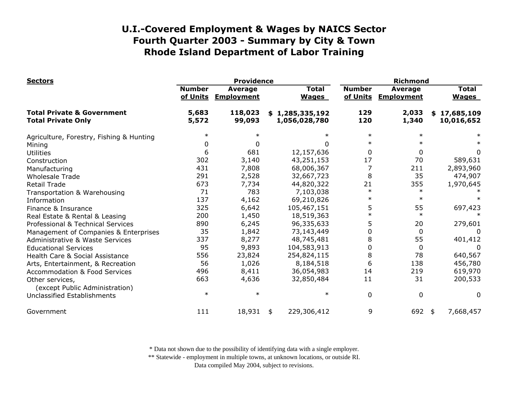| <b>Sectors</b>                                                     | <b>Providence</b>                                                |                   |                              |                                  | <b>Richmond</b>                     |                |                              |                            |
|--------------------------------------------------------------------|------------------------------------------------------------------|-------------------|------------------------------|----------------------------------|-------------------------------------|----------------|------------------------------|----------------------------|
|                                                                    | <b>Number</b><br><b>Average</b><br>of Units<br><b>Employment</b> |                   | <b>Total</b><br><b>Wages</b> | <b>Number</b><br>of Units        | <b>Average</b><br><b>Employment</b> |                | <b>Total</b><br><b>Wages</b> |                            |
| <b>Total Private &amp; Government</b><br><b>Total Private Only</b> | 5,683<br>5,572                                                   | 118,023<br>99,093 |                              | \$1,285,335,192<br>1,056,028,780 | 129<br>120                          | 2,033<br>1,340 |                              | \$17,685,109<br>10,016,652 |
| Agriculture, Forestry, Fishing & Hunting                           | $\ast$                                                           |                   |                              | $\ast$                           | $\ast$                              | $\ast$         |                              |                            |
| Mining                                                             | 0                                                                | $\Omega$          |                              | O                                | $\ast$                              |                |                              |                            |
| <b>Utilities</b>                                                   | 6                                                                | 681               |                              | 12,157,636                       | 0                                   | 0              |                              | 0                          |
| Construction                                                       | 302                                                              | 3,140             |                              | 43,251,153                       | 17                                  | 70             |                              | 589,631                    |
| Manufacturing                                                      | 431                                                              | 7,808             |                              | 68,006,367                       | $\overline{7}$                      | 211            |                              | 2,893,960                  |
| <b>Wholesale Trade</b>                                             | 291                                                              | 2,528             |                              | 32,667,723                       | 8                                   | 35             |                              | 474,907                    |
| <b>Retail Trade</b>                                                | 673                                                              | 7,734             |                              | 44,820,322                       | 21                                  | 355            |                              | 1,970,645                  |
| Transportation & Warehousing                                       | 71                                                               | 783               |                              | 7,103,038                        | $\ast$                              | $\ast$         |                              |                            |
| Information                                                        | 137                                                              | 4,162             |                              | 69,210,826                       | $\ast$                              | $\ast$         |                              |                            |
| Finance & Insurance                                                | 325                                                              | 6,642             |                              | 105,467,151                      | 5                                   | 55             |                              | 697,423                    |
| Real Estate & Rental & Leasing                                     | 200                                                              | 1,450             |                              | 18,519,363                       |                                     | $\ast$         |                              |                            |
| Professional & Technical Services                                  | 890                                                              | 6,245             |                              | 96,335,633                       | 5                                   | 20             |                              | 279,601                    |
| Management of Companies & Enterprises                              | 35                                                               | 1,842             |                              | 73,143,449                       | 0                                   | 0              |                              | $\Omega$                   |
| <b>Administrative &amp; Waste Services</b>                         | 337                                                              | 8,277             |                              | 48,745,481                       | 8                                   | 55             |                              | 401,412                    |
| <b>Educational Services</b>                                        | 95                                                               | 9,893             |                              | 104,583,913                      | 0                                   | 0              |                              | <sup>0</sup>               |
| Health Care & Social Assistance                                    | 556                                                              | 23,824            |                              | 254,824,115                      | 8                                   | 78             |                              | 640,567                    |
| Arts, Entertainment, & Recreation                                  | 56                                                               | 1,026             |                              | 8,184,518                        | 6                                   | 138            |                              | 456,780                    |
| <b>Accommodation &amp; Food Services</b>                           | 496                                                              | 8,411             |                              | 36,054,983                       | 14                                  | 219            |                              | 619,970                    |
| Other services,<br>(except Public Administration)                  | 663                                                              | 4,636             |                              | 32,850,484                       | 11                                  | 31             |                              | 200,533                    |
| Unclassified Establishments                                        | $\ast$                                                           | $\ast$            |                              | $\ast$                           | 0                                   | 0              |                              | $\Omega$                   |
| Government                                                         | 111                                                              | 18,931            | \$                           | 229,306,412                      | 9                                   | 692            | \$                           | 7,668,457                  |

\* Data not shown due to the possibility of identifying data with a single employer.

\*\* Statewide - employment in multiple towns, at unknown locations, or outside RI.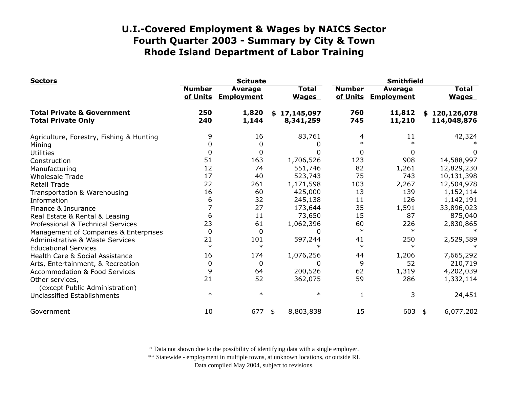| <b>Sectors</b>                                                     | <b>Scituate</b>           |                                     |                              | <b>Smithfield</b>         |                                     |                              |  |
|--------------------------------------------------------------------|---------------------------|-------------------------------------|------------------------------|---------------------------|-------------------------------------|------------------------------|--|
|                                                                    | <b>Number</b><br>of Units | <b>Average</b><br><b>Employment</b> | <b>Total</b><br><b>Wages</b> | <b>Number</b><br>of Units | <b>Average</b><br><b>Employment</b> | <b>Total</b><br><b>Wages</b> |  |
| <b>Total Private &amp; Government</b><br><b>Total Private Only</b> | 250<br>240                | 1,820<br>1,144                      | \$17,145,097<br>8,341,259    | 760<br>745                | 11,812<br>11,210                    | \$120,126,078<br>114,048,876 |  |
| Agriculture, Forestry, Fishing & Hunting                           | 9                         | 16                                  | 83,761                       | 4                         | 11                                  | 42,324                       |  |
| Mining                                                             | 0                         | 0                                   |                              | $\ast$                    |                                     |                              |  |
| <b>Utilities</b>                                                   | 0                         | 0                                   | 0                            | 0                         | O                                   | 0                            |  |
| Construction                                                       | 51                        | 163                                 | 1,706,526                    | 123                       | 908                                 | 14,588,997                   |  |
| Manufacturing                                                      | 12                        | 74                                  | 551,746                      | 82                        | 1,261                               | 12,829,230                   |  |
| <b>Wholesale Trade</b>                                             | 17                        | 40                                  | 523,743                      | 75                        | 743                                 | 10,131,398                   |  |
| <b>Retail Trade</b>                                                | 22                        | 261                                 | 1,171,598                    | 103                       | 2,267                               | 12,504,978                   |  |
| Transportation & Warehousing                                       | 16                        | 60                                  | 425,000                      | 13                        | 139                                 | 1,152,114                    |  |
| Information                                                        | 6                         | 32                                  | 245,138                      | 11                        | 126                                 | 1,142,191                    |  |
| Finance & Insurance                                                | 7                         | 27                                  | 173,644                      | 35                        | 1,591                               | 33,896,023                   |  |
| Real Estate & Rental & Leasing                                     | 6                         | 11                                  | 73,650                       | 15                        | 87                                  | 875,040                      |  |
| Professional & Technical Services                                  | 23                        | 61                                  | 1,062,396                    | 60                        | 226                                 | 2,830,865                    |  |
| Management of Companies & Enterprises                              | 0                         | 0                                   | 0                            | $\ast$                    | $\ast$                              |                              |  |
| Administrative & Waste Services                                    | 21                        | 101                                 | 597,244                      | 41                        | 250                                 | 2,529,589                    |  |
| <b>Educational Services</b>                                        | $\ast$                    | $\ast$                              |                              | $\ast$                    | $\star$                             |                              |  |
| Health Care & Social Assistance                                    | 16                        | 174                                 | 1,076,256                    | 44                        | 1,206                               | 7,665,292                    |  |
| Arts, Entertainment, & Recreation                                  | 0                         | 0                                   | 0                            | 9                         | 52                                  | 210,719                      |  |
| <b>Accommodation &amp; Food Services</b>                           | 9                         | 64                                  | 200,526                      | 62                        | 1,319                               | 4,202,039                    |  |
| Other services,<br>(except Public Administration)                  | 21                        | 52                                  | 362,075                      | 59                        | 286                                 | 1,332,114                    |  |
| Unclassified Establishments                                        | $\ast$                    | $\ast$                              | $\ast$                       | 1                         | 3                                   | 24,451                       |  |
| Government                                                         | 10                        | 677                                 | 8,803,838<br>\$              | 15                        | 603                                 | 6,077,202<br>\$              |  |

\* Data not shown due to the possibility of identifying data with a single employer.

\*\* Statewide - employment in multiple towns, at unknown locations, or outside RI.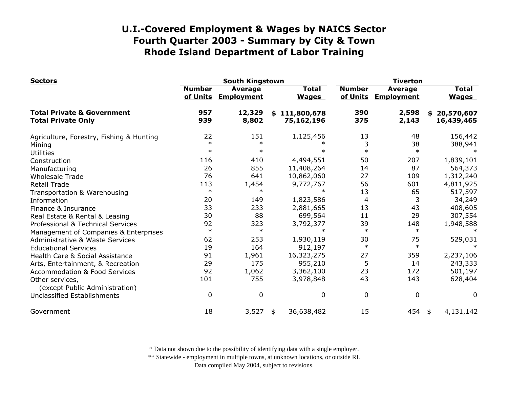| <b>Sectors</b>                                                     | <b>South Kingstown</b>    |                                     |                             |                              | <b>Tiverton</b>           |                                     |                                |  |
|--------------------------------------------------------------------|---------------------------|-------------------------------------|-----------------------------|------------------------------|---------------------------|-------------------------------------|--------------------------------|--|
|                                                                    | <b>Number</b><br>of Units | <b>Average</b><br><b>Employment</b> |                             | <b>Total</b><br><b>Wages</b> | <b>Number</b><br>of Units | <b>Average</b><br><b>Employment</b> | <b>Total</b><br><b>Wages</b>   |  |
| <b>Total Private &amp; Government</b><br><b>Total Private Only</b> | 957<br>939                | 12,329<br>8,802                     | \$111,800,678<br>75,162,196 |                              | 390<br>375                | 2,598<br>2,143                      | 20,570,607<br>\$<br>16,439,465 |  |
| Agriculture, Forestry, Fishing & Hunting                           | 22                        | 151                                 |                             | 1,125,456                    | 13                        | 48                                  | 156,442                        |  |
| Mining                                                             | $\ast$                    | $\ast$                              |                             |                              | 3                         | 38                                  | 388,941                        |  |
| <b>Utilities</b>                                                   | $\ast$                    | $\ast$                              |                             | $\ast$                       | $\ast$                    | $\ast$                              |                                |  |
| Construction                                                       | 116                       | 410                                 |                             | 4,494,551                    | 50                        | 207                                 | 1,839,101                      |  |
| Manufacturing                                                      | 26                        | 855                                 |                             | 11,408,264                   | 14                        | 87                                  | 564,373                        |  |
| <b>Wholesale Trade</b>                                             | 76                        | 641                                 |                             | 10,862,060                   | 27                        | 109                                 | 1,312,240                      |  |
| <b>Retail Trade</b>                                                | 113                       | 1,454                               |                             | 9,772,767                    | 56                        | 601                                 | 4,811,925                      |  |
| Transportation & Warehousing                                       | $\ast$                    | $\ast$                              |                             | $\ast$                       | 13                        | 65                                  | 517,597                        |  |
| Information                                                        | 20                        | 149                                 |                             | 1,823,586                    | 4                         | 3                                   | 34,249                         |  |
| Finance & Insurance                                                | 33                        | 233                                 |                             | 2,881,665                    | 13                        | 43                                  | 408,605                        |  |
| Real Estate & Rental & Leasing                                     | 30                        | 88                                  |                             | 699,564                      | 11                        | 29                                  | 307,554                        |  |
| Professional & Technical Services                                  | 92                        | 323                                 |                             | 3,792,377                    | 39                        | 148                                 | 1,948,588                      |  |
| Management of Companies & Enterprises                              | $\ast$                    | $\ast$                              |                             | $\ast$                       | $\ast$                    | $\ast$                              |                                |  |
| <b>Administrative &amp; Waste Services</b>                         | 62                        | 253                                 |                             | 1,930,119                    | 30                        | 75                                  | 529,031                        |  |
| <b>Educational Services</b>                                        | 19                        | 164                                 |                             | 912,197                      | $\ast$                    | $\ast$                              |                                |  |
| Health Care & Social Assistance                                    | 91                        | 1,961                               |                             | 16,323,275                   | 27                        | 359                                 | 2,237,106                      |  |
| Arts, Entertainment, & Recreation                                  | 29                        | 175                                 |                             | 955,210                      | 5                         | 14                                  | 243,333                        |  |
| <b>Accommodation &amp; Food Services</b>                           | 92                        | 1,062                               |                             | 3,362,100                    | 23                        | 172                                 | 501,197                        |  |
| Other services,                                                    | 101                       | 755                                 |                             | 3,978,848                    | 43                        | 143                                 | 628,404                        |  |
| (except Public Administration)                                     |                           |                                     |                             |                              |                           |                                     |                                |  |
| Unclassified Establishments                                        | $\Omega$                  | $\mathbf 0$                         |                             | 0                            | $\mathbf 0$               | $\pmb{0}$                           | $\Omega$                       |  |
| Government                                                         | 18                        | 3,527                               | \$                          | 36,638,482                   | 15                        | 454                                 | 4,131,142<br>\$                |  |

\* Data not shown due to the possibility of identifying data with a single employer.

\*\* Statewide - employment in multiple towns, at unknown locations, or outside RI.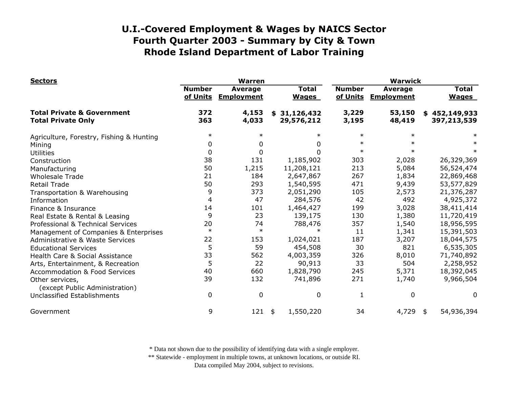| <b>Sectors</b>                                                     | <b>Warren</b>             |                                     |                              | <b>Warwick</b>            |                                     |                              |  |
|--------------------------------------------------------------------|---------------------------|-------------------------------------|------------------------------|---------------------------|-------------------------------------|------------------------------|--|
|                                                                    | <b>Number</b><br>of Units | <b>Average</b><br><b>Employment</b> | <b>Total</b><br><b>Wages</b> | <b>Number</b><br>of Units | <b>Average</b><br><b>Employment</b> | <b>Total</b><br><b>Wages</b> |  |
| <b>Total Private &amp; Government</b><br><b>Total Private Only</b> | 372<br>363                | 4,153<br>4,033                      | \$31,126,432<br>29,576,212   | 3,229<br>3,195            | 53,150<br>48,419                    | \$452,149,933<br>397,213,539 |  |
| Agriculture, Forestry, Fishing & Hunting                           | $\ast$                    | $\ast$                              | $\ast$                       | $\ast$                    |                                     |                              |  |
| Mining                                                             | 0                         | 0                                   | 0                            | $\ast$                    |                                     |                              |  |
| <b>Utilities</b>                                                   | 0                         | 0                                   | 0                            | $\ast$                    |                                     |                              |  |
| Construction                                                       | 38                        | 131                                 | 1,185,902                    | 303                       | 2,028                               | 26,329,369                   |  |
| Manufacturing                                                      | 50                        | 1,215                               | 11,208,121                   | 213                       | 5,084                               | 56,524,474                   |  |
| <b>Wholesale Trade</b>                                             | 21                        | 184                                 | 2,647,867                    | 267                       | 1,834                               | 22,869,468                   |  |
| <b>Retail Trade</b>                                                | 50                        | 293                                 | 1,540,595                    | 471                       | 9,439                               | 53,577,829                   |  |
| Transportation & Warehousing                                       | 9                         | 373                                 | 2,051,290                    | 105                       | 2,573                               | 21,376,287                   |  |
| Information                                                        | $\overline{4}$            | 47                                  | 284,576                      | 42                        | 492                                 | 4,925,372                    |  |
| Finance & Insurance                                                | 14                        | 101                                 | 1,464,427                    | 199                       | 3,028                               | 38,411,414                   |  |
| Real Estate & Rental & Leasing                                     | 9                         | 23                                  | 139,175                      | 130                       | 1,380                               | 11,720,419                   |  |
| Professional & Technical Services                                  | 20                        | 74                                  | 788,476                      | 357                       | 1,540                               | 18,956,595                   |  |
| Management of Companies & Enterprises                              | $\ast$                    | $\ast$                              | $\ast$                       | 11                        | 1,341                               | 15,391,503                   |  |
| <b>Administrative &amp; Waste Services</b>                         | 22                        | 153                                 | 1,024,021                    | 187                       | 3,207                               | 18,044,575                   |  |
| <b>Educational Services</b>                                        | 5                         | 59                                  | 454,508                      | 30                        | 821                                 | 6,535,305                    |  |
| Health Care & Social Assistance                                    | 33                        | 562                                 | 4,003,359                    | 326                       | 8,010                               | 71,740,892                   |  |
| Arts, Entertainment, & Recreation                                  | 5                         | 22                                  | 90,913                       | 33                        | 504                                 | 2,258,952                    |  |
| <b>Accommodation &amp; Food Services</b>                           | 40                        | 660                                 | 1,828,790                    | 245                       | 5,371                               | 18,392,045                   |  |
| Other services,<br>(except Public Administration)                  | 39                        | 132                                 | 741,896                      | 271                       | 1,740                               | 9,966,504                    |  |
| Unclassified Establishments                                        | $\Omega$                  | $\mathbf 0$                         | 0                            | 1                         | $\mathbf{0}$                        | 0                            |  |
| Government                                                         | 9                         | 121                                 | 1,550,220<br>\$              | 34                        | $4,729$ \$                          | 54,936,394                   |  |

\* Data not shown due to the possibility of identifying data with a single employer.

\*\* Statewide - employment in multiple towns, at unknown locations, or outside RI.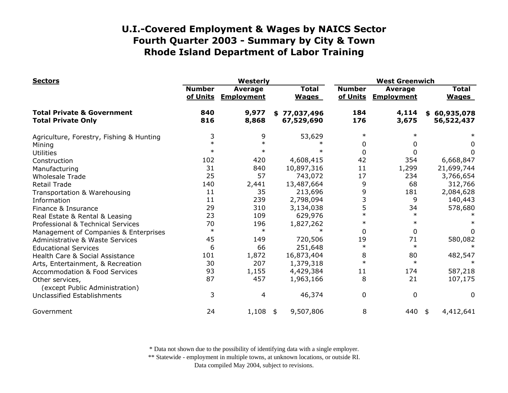| <b>Sectors</b>                                                     | Westerly                  |                                     |                              | <b>West Greenwich</b>     |                                     |                              |  |
|--------------------------------------------------------------------|---------------------------|-------------------------------------|------------------------------|---------------------------|-------------------------------------|------------------------------|--|
|                                                                    | <b>Number</b><br>of Units | <b>Average</b><br><b>Employment</b> | <b>Total</b><br><b>Wages</b> | <b>Number</b><br>of Units | <b>Average</b><br><b>Employment</b> | <b>Total</b><br><b>Wages</b> |  |
| <b>Total Private &amp; Government</b><br><b>Total Private Only</b> | 840<br>816                | 9,977<br>8,868                      | \$77,037,496<br>67,529,690   | 184<br>176                | 4,114<br>3,675                      | \$60,935,078<br>56,522,437   |  |
| Agriculture, Forestry, Fishing & Hunting                           | 3                         | 9                                   | 53,629                       | $\ast$                    | $\ast$                              |                              |  |
| Mining                                                             | $\ast$                    | $\ast$                              |                              | 0                         | 0                                   | 0                            |  |
| <b>Utilities</b>                                                   | $\ast$                    |                                     |                              | 0                         | 0                                   | 0                            |  |
| Construction                                                       | 102                       | 420                                 | 4,608,415                    | 42                        | 354                                 | 6,668,847                    |  |
| Manufacturing                                                      | 31                        | 840                                 | 10,897,316                   | 11                        | 1,299                               | 21,699,744                   |  |
| <b>Wholesale Trade</b>                                             | 25                        | 57                                  | 743,072                      | 17                        | 234                                 | 3,766,654                    |  |
| <b>Retail Trade</b>                                                | 140                       | 2,441                               | 13,487,664                   | 9                         | 68                                  | 312,766                      |  |
| Transportation & Warehousing                                       | 11                        | 35                                  | 213,696                      | 9                         | 181                                 | 2,084,628                    |  |
| Information                                                        | 11                        | 239                                 | 2,798,094                    |                           | 9                                   | 140,443                      |  |
| Finance & Insurance                                                | 29                        | 310                                 | 3,134,038                    | 5                         | 34                                  | 578,680                      |  |
| Real Estate & Rental & Leasing                                     | 23                        | 109                                 | 629,976                      | $\ast$                    | $\ast$                              |                              |  |
| Professional & Technical Services                                  | 70                        | 196                                 | 1,827,262                    | $\ast$                    |                                     |                              |  |
| Management of Companies & Enterprises                              | $\ast$                    | $\ast$                              |                              | $\Omega$                  | 0                                   | 0                            |  |
| <b>Administrative &amp; Waste Services</b>                         | 45                        | 149                                 | 720,506                      | 19                        | 71                                  | 580,082                      |  |
| <b>Educational Services</b>                                        | 6                         | 66                                  | 251,648                      | $\ast$                    | $\ast$                              |                              |  |
| Health Care & Social Assistance                                    | 101                       | 1,872                               | 16,873,404                   | 8                         | 80                                  | 482,547                      |  |
| Arts, Entertainment, & Recreation                                  | 30                        | 207                                 | 1,379,318                    | $\ast$                    | $\ast$                              | $\ast$                       |  |
| <b>Accommodation &amp; Food Services</b>                           | 93                        | 1,155                               | 4,429,384                    | 11                        | 174                                 | 587,218                      |  |
| Other services,<br>(except Public Administration)                  | 87                        | 457                                 | 1,963,166                    | 8                         | 21                                  | 107,175                      |  |
| Unclassified Establishments                                        | 3                         | 4                                   | 46,374                       | 0                         | 0                                   | 0                            |  |
| Government                                                         | 24                        | 1,108                               | 9,507,806<br>\$              | 8                         | 440                                 | 4,412,641<br>\$              |  |

\* Data not shown due to the possibility of identifying data with a single employer.

\*\* Statewide - employment in multiple towns, at unknown locations, or outside RI.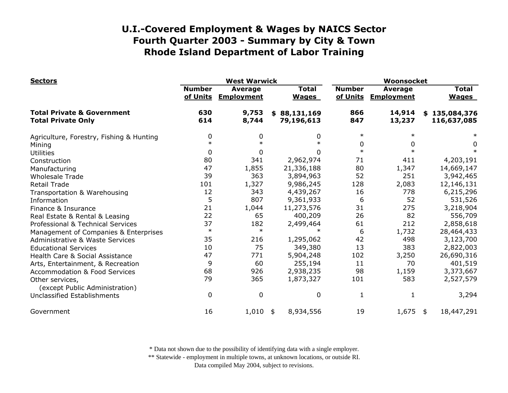| <b>Sectors</b>                                                     | <b>West Warwick</b>       |                                     |                              | Woonsocket                |                                     |                              |   |
|--------------------------------------------------------------------|---------------------------|-------------------------------------|------------------------------|---------------------------|-------------------------------------|------------------------------|---|
|                                                                    | <b>Number</b><br>of Units | <b>Average</b><br><b>Employment</b> | <b>Total</b><br><b>Wages</b> | <b>Number</b><br>of Units | <b>Average</b><br><b>Employment</b> | <b>Total</b><br><b>Wages</b> |   |
| <b>Total Private &amp; Government</b><br><b>Total Private Only</b> | 630<br>614                | 9,753<br>8,744                      | \$88,131,169<br>79,196,613   | 866<br>847                | 14,914<br>13,237                    | \$135,084,376<br>116,637,085 |   |
| Agriculture, Forestry, Fishing & Hunting                           | 0                         | 0                                   | 0                            | $\ast$                    |                                     |                              |   |
| Mining                                                             | $\ast$                    | $\ast$                              | $\ast$                       | 0                         | 0                                   |                              | 0 |
| <b>Utilities</b>                                                   | 0                         | 0                                   | 0                            | $\ast$                    |                                     |                              |   |
| Construction                                                       | 80                        | 341                                 | 2,962,974                    | 71                        | 411                                 | 4,203,191                    |   |
| Manufacturing                                                      | 47                        | 1,855                               | 21,336,188                   | 80                        | 1,347                               | 14,669,147                   |   |
| <b>Wholesale Trade</b>                                             | 39                        | 363                                 | 3,894,963                    | 52                        | 251                                 | 3,942,465                    |   |
| <b>Retail Trade</b>                                                | 101                       | 1,327                               | 9,986,245                    | 128                       | 2,083                               | 12,146,131                   |   |
| Transportation & Warehousing                                       | 12                        | 343                                 | 4,439,267                    | 16                        | 778                                 | 6,215,296                    |   |
| Information                                                        | 5                         | 807                                 | 9,361,933                    | 6                         | 52                                  | 531,526                      |   |
| Finance & Insurance                                                | 21                        | 1,044                               | 11,273,576                   | 31                        | 275                                 | 3,218,904                    |   |
| Real Estate & Rental & Leasing                                     | 22                        | 65                                  | 400,209                      | 26                        | 82                                  | 556,709                      |   |
| Professional & Technical Services                                  | 37                        | 182                                 | 2,499,464                    | 61                        | 212                                 | 2,858,618                    |   |
| Management of Companies & Enterprises                              | $\ast$                    | $\ast$                              |                              | 6                         | 1,732                               | 28,464,433                   |   |
| <b>Administrative &amp; Waste Services</b>                         | 35                        | 216                                 | 1,295,062                    | 42                        | 498                                 | 3,123,700                    |   |
| <b>Educational Services</b>                                        | 10                        | 75                                  | 349,380                      | 13                        | 383                                 | 2,822,003                    |   |
| Health Care & Social Assistance                                    | 47                        | 771                                 | 5,904,248                    | 102                       | 3,250                               | 26,690,316                   |   |
| Arts, Entertainment, & Recreation                                  | 9                         | 60                                  | 255,194                      | 11                        | 70                                  | 401,519                      |   |
| <b>Accommodation &amp; Food Services</b>                           | 68                        | 926                                 | 2,938,235                    | 98                        | 1,159                               | 3,373,667                    |   |
| Other services,<br>(except Public Administration)                  | 79                        | 365                                 | 1,873,327                    | 101                       | 583                                 | 2,527,579                    |   |
| Unclassified Establishments                                        | $\Omega$                  | 0                                   | 0                            | $\mathbf{1}$              | $\mathbf{1}$                        | 3,294                        |   |
| Government                                                         | 16                        | 1,010                               | 8,934,556<br>\$              | 19                        | 1,675                               | 18,447,291<br>\$             |   |

\* Data not shown due to the possibility of identifying data with a single employer.

\*\* Statewide - employment in multiple towns, at unknown locations, or outside RI.